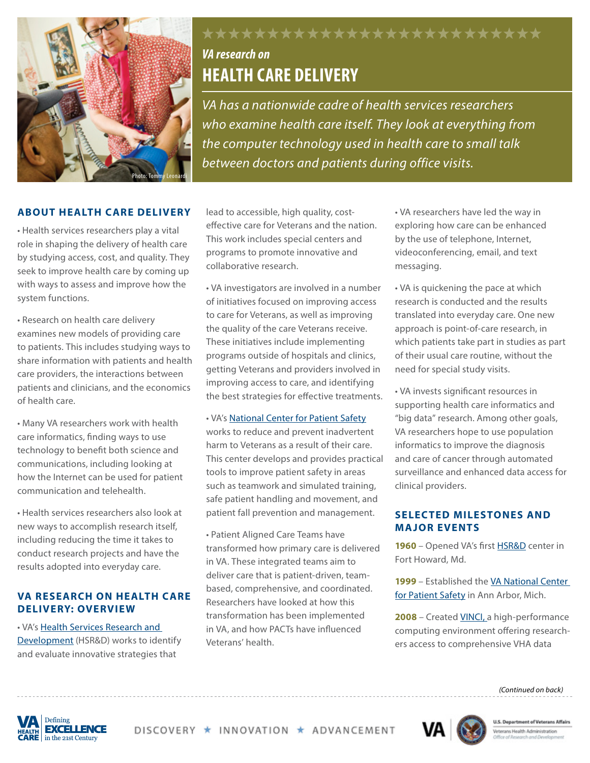

# *VA research on*  **HEALTH CARE DELIVERY**

*VA has a nationwide cadre of health services researchers who examine health care itself. They look at everything from the computer technology used in health care to small talk between doctors and patients during office visits.*

\*\*\*\*\*\*\*\*\*\*\*\*\*\*\*\*\*\*\*\*\*\*\*\*\*\*

#### **ABOUT HEALTH CARE DELIVERY**

• Health services researchers play a vital role in shaping the delivery of health care by studying access, cost, and quality. They seek to improve health care by coming up with ways to assess and improve how the system functions.

• Research on health care delivery examines new models of providing care to patients. This includes studying ways to share information with patients and health care providers, the interactions between patients and clinicians, and the economics of health care.

• Many VA researchers work with health care informatics, finding ways to use technology to benefit both science and communications, including looking at how the Internet can be used for patient communication and telehealth.

• Health services researchers also look at new ways to accomplish research itself, including reducing the time it takes to conduct research projects and have the results adopted into everyday care.

#### **VA RESEARCH ON HEALTH CARE DELIVERY: OVERVIEW**

• VA's [Health Services Research and](http://www.hsrd.research.va.gov/default.cfm) [Development](http://www.hsrd.research.va.gov/default.cfm) (HSR&D) works to identify and evaluate innovative strategies that

lead to accessible, high quality, costeffective care for Veterans and the nation. This work includes special centers and programs to promote innovative and collaborative research.

• VA investigators are involved in a number of initiatives focused on improving access to care for Veterans, as well as improving the quality of the care Veterans receive. These initiatives include implementing programs outside of hospitals and clinics, getting Veterans and providers involved in improving access to care, and identifying the best strategies for effective treatments.

#### • VA's [National Center for Patient Safety](http://www.patientsafety.va.gov/)

works to reduce and prevent inadvertent harm to Veterans as a result of their care. This center develops and provides practical tools to improve patient safety in areas such as teamwork and simulated training, safe patient handling and movement, and patient fall prevention and management.

• Patient Aligned Care Teams have transformed how primary care is delivered in VA. These integrated teams aim to deliver care that is patient-driven, teambased, comprehensive, and coordinated. Researchers have looked at how this transformation has been implemented in VA, and how PACTs have influenced Veterans' health.

• VA researchers have led the way in exploring how care can be enhanced by the use of telephone, Internet, videoconferencing, email, and text messaging.

• VA is quickening the pace at which research is conducted and the results translated into everyday care. One new approach is point-of-care research, in which patients take part in studies as part of their usual care routine, without the need for special study visits.

• VA invests significant resources in supporting health care informatics and "big data" research. Among other goals, VA researchers hope to use population informatics to improve the diagnosis and care of cancer through automated surveillance and enhanced data access for clinical providers.

#### **SELECTED MILESTONES AND MA JOR EVENTS**

**1960** – Opened VA's first [HSR&D](http://www.hsrd.research.va.gov/about/default.cfm) center in Fort Howard, Md.

**1999** – Established the [VA National Center](http://www.patientsafety.va.gov/)  [for Patient Safety](http://www.patientsafety.va.gov/) in Ann Arbor, Mich.

**2008** – Created [VINCI, a](http://www.hsrd.research.va.gov/for_researchers/vinci/) high-performance computing environment offering researchers access to comprehensive VHA data



DISCOVERY \* INNOVATION \* ADVANCEMENT



**U.S. Department of Veterans Affairs** Veterans Health Administration

*(Continued on back)*